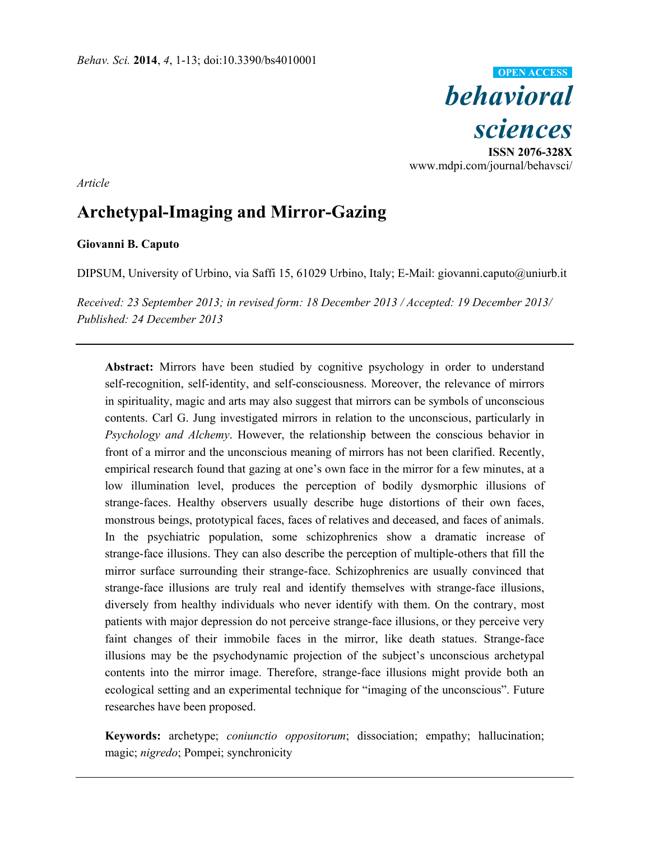*behavioral sciences*  **ISSN 2076-328X**  www.mdpi.com/journal/behavsci/ **OPEN ACCESS**

*Article* 

# **Archetypal-Imaging and Mirror-Gazing**

## **Giovanni B. Caputo**

DIPSUM, University of Urbino, via Saffi 15, 61029 Urbino, Italy; E-Mail: giovanni.caputo@uniurb.it

*Received: 23 September 2013; in revised form: 18 December 2013 / Accepted: 19 December 2013/ Published: 24 December 2013* 

**Abstract:** Mirrors have been studied by cognitive psychology in order to understand self-recognition, self-identity, and self-consciousness. Moreover, the relevance of mirrors in spirituality, magic and arts may also suggest that mirrors can be symbols of unconscious contents. Carl G. Jung investigated mirrors in relation to the unconscious, particularly in *Psychology and Alchemy*. However, the relationship between the conscious behavior in front of a mirror and the unconscious meaning of mirrors has not been clarified. Recently, empirical research found that gazing at one's own face in the mirror for a few minutes, at a low illumination level, produces the perception of bodily dysmorphic illusions of strange-faces. Healthy observers usually describe huge distortions of their own faces, monstrous beings, prototypical faces, faces of relatives and deceased, and faces of animals. In the psychiatric population, some schizophrenics show a dramatic increase of strange-face illusions. They can also describe the perception of multiple-others that fill the mirror surface surrounding their strange-face. Schizophrenics are usually convinced that strange-face illusions are truly real and identify themselves with strange-face illusions, diversely from healthy individuals who never identify with them. On the contrary, most patients with major depression do not perceive strange-face illusions, or they perceive very faint changes of their immobile faces in the mirror, like death statues. Strange-face illusions may be the psychodynamic projection of the subject's unconscious archetypal contents into the mirror image. Therefore, strange-face illusions might provide both an ecological setting and an experimental technique for "imaging of the unconscious". Future researches have been proposed.

**Keywords:** archetype; *coniunctio oppositorum*; dissociation; empathy; hallucination; magic; *nigredo*; Pompei; synchronicity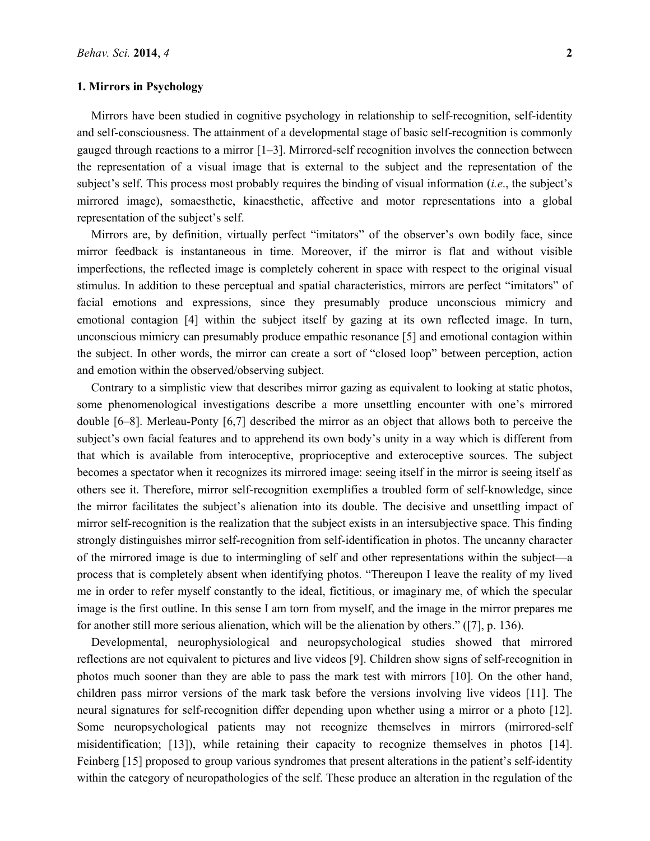#### **1. Mirrors in Psychology**

Mirrors have been studied in cognitive psychology in relationship to self-recognition, self-identity and self-consciousness. The attainment of a developmental stage of basic self-recognition is commonly gauged through reactions to a mirror [1–3]. Mirrored-self recognition involves the connection between the representation of a visual image that is external to the subject and the representation of the subject's self. This process most probably requires the binding of visual information (*i.e*., the subject's mirrored image), somaesthetic, kinaesthetic, affective and motor representations into a global representation of the subject's self.

Mirrors are, by definition, virtually perfect "imitators" of the observer's own bodily face, since mirror feedback is instantaneous in time. Moreover, if the mirror is flat and without visible imperfections, the reflected image is completely coherent in space with respect to the original visual stimulus. In addition to these perceptual and spatial characteristics, mirrors are perfect "imitators" of facial emotions and expressions, since they presumably produce unconscious mimicry and emotional contagion [4] within the subject itself by gazing at its own reflected image. In turn, unconscious mimicry can presumably produce empathic resonance [5] and emotional contagion within the subject. In other words, the mirror can create a sort of "closed loop" between perception, action and emotion within the observed/observing subject.

Contrary to a simplistic view that describes mirror gazing as equivalent to looking at static photos, some phenomenological investigations describe a more unsettling encounter with one's mirrored double [6–8]. Merleau-Ponty [6,7] described the mirror as an object that allows both to perceive the subject's own facial features and to apprehend its own body's unity in a way which is different from that which is available from interoceptive, proprioceptive and exteroceptive sources. The subject becomes a spectator when it recognizes its mirrored image: seeing itself in the mirror is seeing itself as others see it. Therefore, mirror self-recognition exemplifies a troubled form of self-knowledge, since the mirror facilitates the subject's alienation into its double. The decisive and unsettling impact of mirror self-recognition is the realization that the subject exists in an intersubjective space. This finding strongly distinguishes mirror self-recognition from self-identification in photos. The uncanny character of the mirrored image is due to intermingling of self and other representations within the subject—a process that is completely absent when identifying photos. "Thereupon I leave the reality of my lived me in order to refer myself constantly to the ideal, fictitious, or imaginary me, of which the specular image is the first outline. In this sense I am torn from myself, and the image in the mirror prepares me for another still more serious alienation, which will be the alienation by others." ([7], p. 136).

Developmental, neurophysiological and neuropsychological studies showed that mirrored reflections are not equivalent to pictures and live videos [9]. Children show signs of self-recognition in photos much sooner than they are able to pass the mark test with mirrors [10]. On the other hand, children pass mirror versions of the mark task before the versions involving live videos [11]. The neural signatures for self-recognition differ depending upon whether using a mirror or a photo [12]. Some neuropsychological patients may not recognize themselves in mirrors (mirrored-self misidentification; [13]), while retaining their capacity to recognize themselves in photos [14]. Feinberg [15] proposed to group various syndromes that present alterations in the patient's self-identity within the category of neuropathologies of the self. These produce an alteration in the regulation of the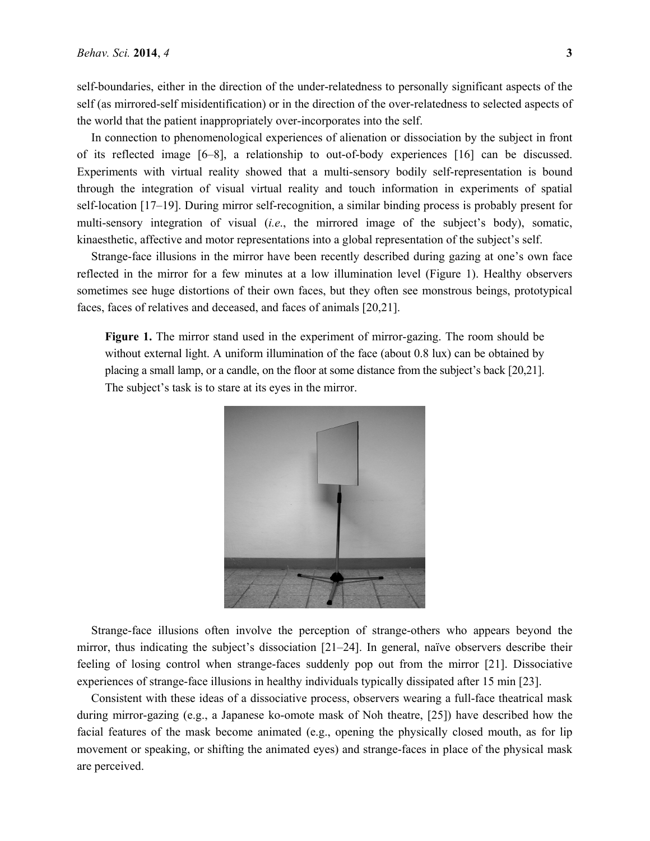self-boundaries, either in the direction of the under-relatedness to personally significant aspects of the self (as mirrored-self misidentification) or in the direction of the over-relatedness to selected aspects of the world that the patient inappropriately over-incorporates into the self.

In connection to phenomenological experiences of alienation or dissociation by the subject in front of its reflected image [6–8], a relationship to out-of-body experiences [16] can be discussed. Experiments with virtual reality showed that a multi-sensory bodily self-representation is bound through the integration of visual virtual reality and touch information in experiments of spatial self-location [17–19]. During mirror self-recognition, a similar binding process is probably present for multi-sensory integration of visual (*i.e*., the mirrored image of the subject's body), somatic, kinaesthetic, affective and motor representations into a global representation of the subject's self.

Strange-face illusions in the mirror have been recently described during gazing at one's own face reflected in the mirror for a few minutes at a low illumination level (Figure 1). Healthy observers sometimes see huge distortions of their own faces, but they often see monstrous beings, prototypical faces, faces of relatives and deceased, and faces of animals [20,21].

**Figure 1.** The mirror stand used in the experiment of mirror-gazing. The room should be without external light. A uniform illumination of the face (about 0.8 lux) can be obtained by placing a small lamp, or a candle, on the floor at some distance from the subject's back [20,21]. The subject's task is to stare at its eyes in the mirror.



Strange-face illusions often involve the perception of strange-others who appears beyond the mirror, thus indicating the subject's dissociation [21–24]. In general, naïve observers describe their feeling of losing control when strange-faces suddenly pop out from the mirror [21]. Dissociative experiences of strange-face illusions in healthy individuals typically dissipated after 15 min [23].

Consistent with these ideas of a dissociative process, observers wearing a full-face theatrical mask during mirror-gazing (e.g., a Japanese ko-omote mask of Noh theatre, [25]) have described how the facial features of the mask become animated (e.g., opening the physically closed mouth, as for lip movement or speaking, or shifting the animated eyes) and strange-faces in place of the physical mask are perceived.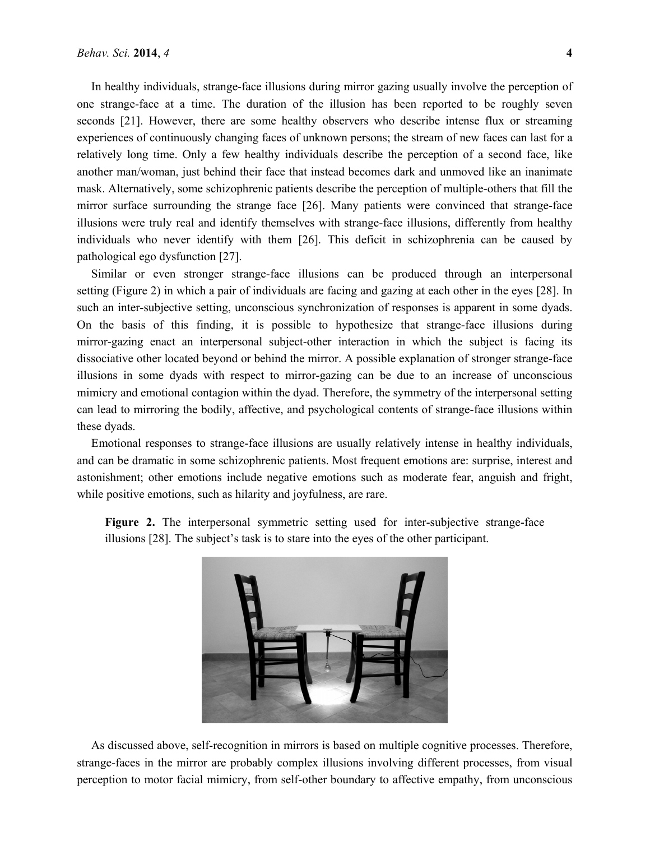In healthy individuals, strange-face illusions during mirror gazing usually involve the perception of one strange-face at a time. The duration of the illusion has been reported to be roughly seven seconds [21]. However, there are some healthy observers who describe intense flux or streaming experiences of continuously changing faces of unknown persons; the stream of new faces can last for a relatively long time. Only a few healthy individuals describe the perception of a second face, like another man/woman, just behind their face that instead becomes dark and unmoved like an inanimate mask. Alternatively, some schizophrenic patients describe the perception of multiple-others that fill the mirror surface surrounding the strange face [26]. Many patients were convinced that strange-face illusions were truly real and identify themselves with strange-face illusions, differently from healthy individuals who never identify with them [26]. This deficit in schizophrenia can be caused by pathological ego dysfunction [27].

Similar or even stronger strange-face illusions can be produced through an interpersonal setting (Figure 2) in which a pair of individuals are facing and gazing at each other in the eyes [28]. In such an inter-subjective setting, unconscious synchronization of responses is apparent in some dyads. On the basis of this finding, it is possible to hypothesize that strange-face illusions during mirror-gazing enact an interpersonal subject-other interaction in which the subject is facing its dissociative other located beyond or behind the mirror. A possible explanation of stronger strange-face illusions in some dyads with respect to mirror-gazing can be due to an increase of unconscious mimicry and emotional contagion within the dyad. Therefore, the symmetry of the interpersonal setting can lead to mirroring the bodily, affective, and psychological contents of strange-face illusions within these dyads.

Emotional responses to strange-face illusions are usually relatively intense in healthy individuals, and can be dramatic in some schizophrenic patients. Most frequent emotions are: surprise, interest and astonishment; other emotions include negative emotions such as moderate fear, anguish and fright, while positive emotions, such as hilarity and joyfulness, are rare.

**Figure 2.** The interpersonal symmetric setting used for inter-subjective strange-face illusions [28]. The subject's task is to stare into the eyes of the other participant.



As discussed above, self-recognition in mirrors is based on multiple cognitive processes. Therefore, strange-faces in the mirror are probably complex illusions involving different processes, from visual perception to motor facial mimicry, from self-other boundary to affective empathy, from unconscious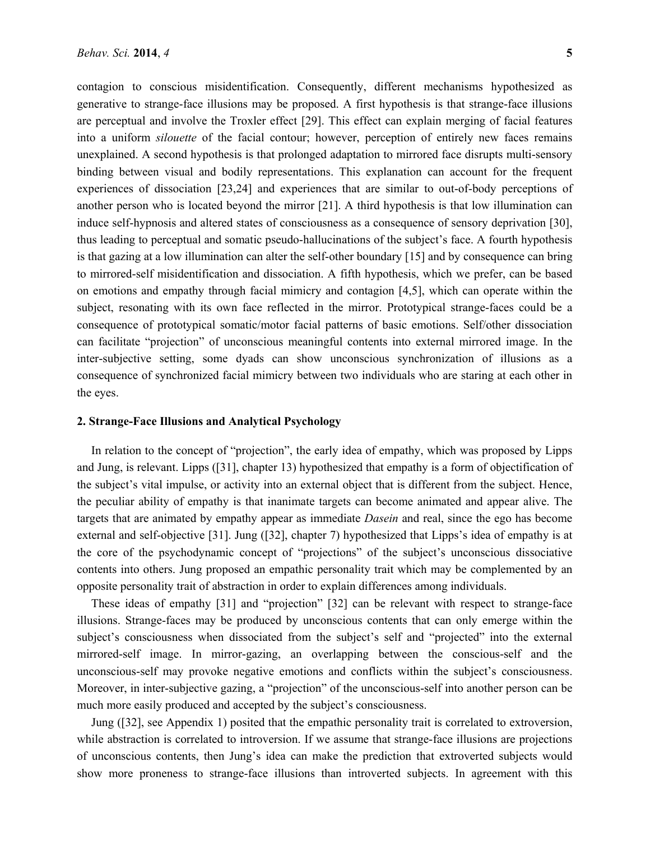contagion to conscious misidentification. Consequently, different mechanisms hypothesized as generative to strange-face illusions may be proposed. A first hypothesis is that strange-face illusions are perceptual and involve the Troxler effect [29]. This effect can explain merging of facial features into a uniform *silouette* of the facial contour; however, perception of entirely new faces remains unexplained. A second hypothesis is that prolonged adaptation to mirrored face disrupts multi-sensory binding between visual and bodily representations. This explanation can account for the frequent experiences of dissociation [23,24] and experiences that are similar to out-of-body perceptions of another person who is located beyond the mirror [21]. A third hypothesis is that low illumination can induce self-hypnosis and altered states of consciousness as a consequence of sensory deprivation [30], thus leading to perceptual and somatic pseudo-hallucinations of the subject's face. A fourth hypothesis is that gazing at a low illumination can alter the self-other boundary [15] and by consequence can bring to mirrored-self misidentification and dissociation. A fifth hypothesis, which we prefer, can be based on emotions and empathy through facial mimicry and contagion [4,5], which can operate within the subject, resonating with its own face reflected in the mirror. Prototypical strange-faces could be a consequence of prototypical somatic/motor facial patterns of basic emotions. Self/other dissociation can facilitate "projection" of unconscious meaningful contents into external mirrored image. In the inter-subjective setting, some dyads can show unconscious synchronization of illusions as a consequence of synchronized facial mimicry between two individuals who are staring at each other in the eyes.

## **2. Strange-Face Illusions and Analytical Psychology**

In relation to the concept of "projection", the early idea of empathy, which was proposed by Lipps and Jung, is relevant. Lipps ([31], chapter 13) hypothesized that empathy is a form of objectification of the subject's vital impulse, or activity into an external object that is different from the subject. Hence, the peculiar ability of empathy is that inanimate targets can become animated and appear alive. The targets that are animated by empathy appear as immediate *Dasein* and real, since the ego has become external and self-objective [31]. Jung ([32], chapter 7) hypothesized that Lipps's idea of empathy is at the core of the psychodynamic concept of "projections" of the subject's unconscious dissociative contents into others. Jung proposed an empathic personality trait which may be complemented by an opposite personality trait of abstraction in order to explain differences among individuals.

These ideas of empathy [31] and "projection" [32] can be relevant with respect to strange-face illusions. Strange-faces may be produced by unconscious contents that can only emerge within the subject's consciousness when dissociated from the subject's self and "projected" into the external mirrored-self image. In mirror-gazing, an overlapping between the conscious-self and the unconscious-self may provoke negative emotions and conflicts within the subject's consciousness. Moreover, in inter-subjective gazing, a "projection" of the unconscious-self into another person can be much more easily produced and accepted by the subject's consciousness.

Jung ([32], see Appendix 1) posited that the empathic personality trait is correlated to extroversion, while abstraction is correlated to introversion. If we assume that strange-face illusions are projections of unconscious contents, then Jung's idea can make the prediction that extroverted subjects would show more proneness to strange-face illusions than introverted subjects. In agreement with this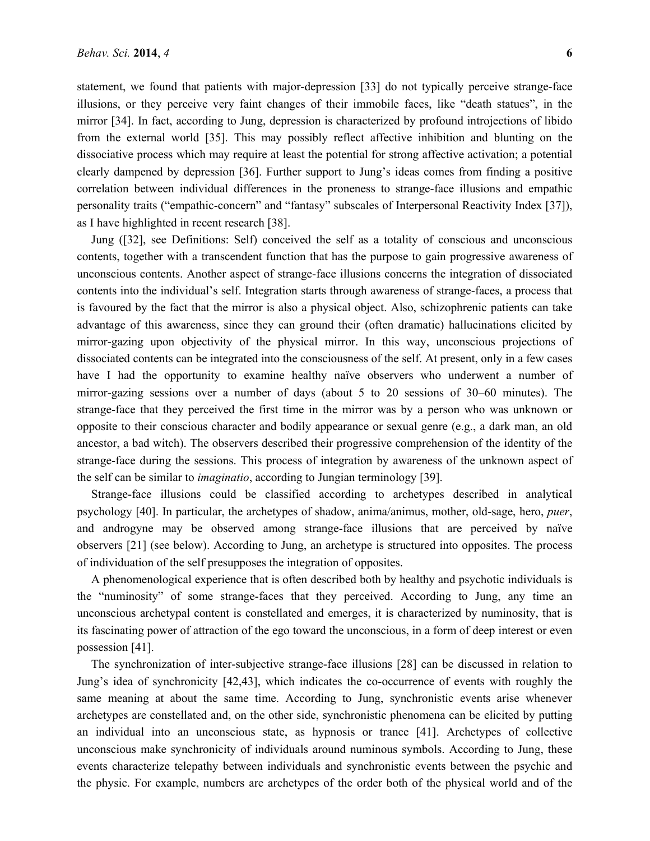statement, we found that patients with major-depression [33] do not typically perceive strange-face illusions, or they perceive very faint changes of their immobile faces, like "death statues", in the mirror [34]. In fact, according to Jung, depression is characterized by profound introjections of libido from the external world [35]. This may possibly reflect affective inhibition and blunting on the dissociative process which may require at least the potential for strong affective activation; a potential clearly dampened by depression [36]. Further support to Jung's ideas comes from finding a positive correlation between individual differences in the proneness to strange-face illusions and empathic personality traits ("empathic-concern" and "fantasy" subscales of Interpersonal Reactivity Index [37]), as I have highlighted in recent research [38].

Jung ([32], see Definitions: Self) conceived the self as a totality of conscious and unconscious contents, together with a transcendent function that has the purpose to gain progressive awareness of unconscious contents. Another aspect of strange-face illusions concerns the integration of dissociated contents into the individual's self. Integration starts through awareness of strange-faces, a process that is favoured by the fact that the mirror is also a physical object. Also, schizophrenic patients can take advantage of this awareness, since they can ground their (often dramatic) hallucinations elicited by mirror-gazing upon objectivity of the physical mirror. In this way, unconscious projections of dissociated contents can be integrated into the consciousness of the self. At present, only in a few cases have I had the opportunity to examine healthy naïve observers who underwent a number of mirror-gazing sessions over a number of days (about 5 to 20 sessions of 30–60 minutes). The strange-face that they perceived the first time in the mirror was by a person who was unknown or opposite to their conscious character and bodily appearance or sexual genre (e.g., a dark man, an old ancestor, a bad witch). The observers described their progressive comprehension of the identity of the strange-face during the sessions. This process of integration by awareness of the unknown aspect of the self can be similar to *imaginatio*, according to Jungian terminology [39].

Strange-face illusions could be classified according to archetypes described in analytical psychology [40]. In particular, the archetypes of shadow, anima/animus, mother, old-sage, hero, *puer*, and androgyne may be observed among strange-face illusions that are perceived by naïve observers [21] (see below). According to Jung, an archetype is structured into opposites. The process of individuation of the self presupposes the integration of opposites.

A phenomenological experience that is often described both by healthy and psychotic individuals is the "numinosity" of some strange-faces that they perceived. According to Jung, any time an unconscious archetypal content is constellated and emerges, it is characterized by numinosity, that is its fascinating power of attraction of the ego toward the unconscious, in a form of deep interest or even possession [41].

The synchronization of inter-subjective strange-face illusions [28] can be discussed in relation to Jung's idea of synchronicity [42,43], which indicates the co-occurrence of events with roughly the same meaning at about the same time. According to Jung, synchronistic events arise whenever archetypes are constellated and, on the other side, synchronistic phenomena can be elicited by putting an individual into an unconscious state, as hypnosis or trance [41]. Archetypes of collective unconscious make synchronicity of individuals around numinous symbols. According to Jung, these events characterize telepathy between individuals and synchronistic events between the psychic and the physic. For example, numbers are archetypes of the order both of the physical world and of the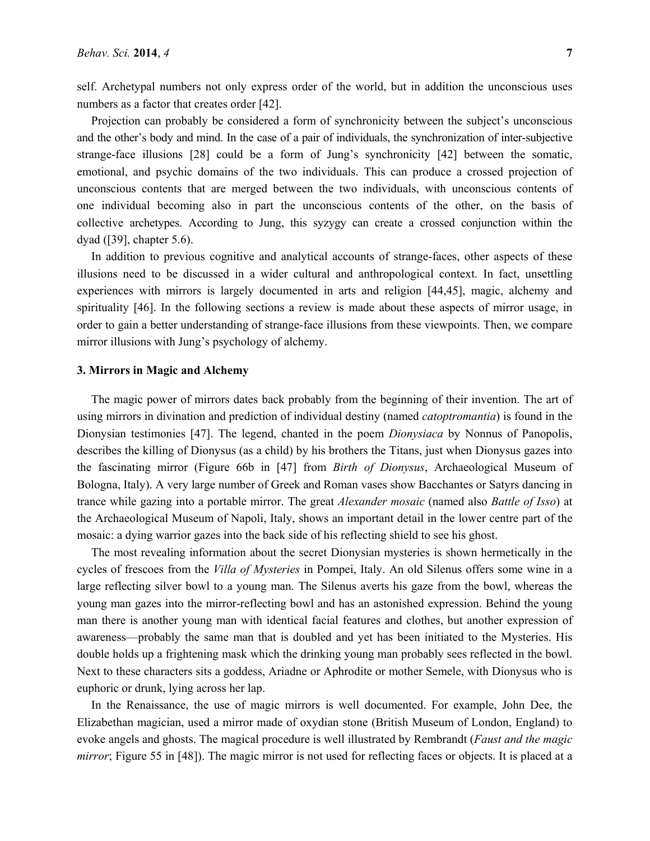self. Archetypal numbers not only express order of the world, but in addition the unconscious uses numbers as a factor that creates order [42].

Projection can probably be considered a form of synchronicity between the subject's unconscious and the other's body and mind. In the case of a pair of individuals, the synchronization of inter-subjective strange-face illusions [28] could be a form of Jung's synchronicity [42] between the somatic, emotional, and psychic domains of the two individuals. This can produce a crossed projection of unconscious contents that are merged between the two individuals, with unconscious contents of one individual becoming also in part the unconscious contents of the other, on the basis of collective archetypes. According to Jung, this syzygy can create a crossed conjunction within the dyad ([39], chapter 5.6).

In addition to previous cognitive and analytical accounts of strange-faces, other aspects of these illusions need to be discussed in a wider cultural and anthropological context. In fact, unsettling experiences with mirrors is largely documented in arts and religion [44,45], magic, alchemy and spirituality [46]. In the following sections a review is made about these aspects of mirror usage, in order to gain a better understanding of strange-face illusions from these viewpoints. Then, we compare mirror illusions with Jung's psychology of alchemy.

#### **3. Mirrors in Magic and Alchemy**

The magic power of mirrors dates back probably from the beginning of their invention. The art of using mirrors in divination and prediction of individual destiny (named *catoptromantia*) is found in the Dionysian testimonies [47]. The legend, chanted in the poem *Dionysiaca* by Nonnus of Panopolis, describes the killing of Dionysus (as a child) by his brothers the Titans, just when Dionysus gazes into the fascinating mirror (Figure 66b in [47] from *Birth of Dionysus*, Archaeological Museum of Bologna, Italy). A very large number of Greek and Roman vases show Bacchantes or Satyrs dancing in trance while gazing into a portable mirror. The great *Alexander mosaic* (named also *Battle of Isso*) at the Archaeological Museum of Napoli, Italy, shows an important detail in the lower centre part of the mosaic: a dying warrior gazes into the back side of his reflecting shield to see his ghost.

The most revealing information about the secret Dionysian mysteries is shown hermetically in the cycles of frescoes from the *Villa of Mysteries* in Pompei, Italy. An old Silenus offers some wine in a large reflecting silver bowl to a young man. The Silenus averts his gaze from the bowl, whereas the young man gazes into the mirror-reflecting bowl and has an astonished expression. Behind the young man there is another young man with identical facial features and clothes, but another expression of awareness—probably the same man that is doubled and yet has been initiated to the Mysteries. His double holds up a frightening mask which the drinking young man probably sees reflected in the bowl. Next to these characters sits a goddess, Ariadne or Aphrodite or mother Semele, with Dionysus who is euphoric or drunk, lying across her lap.

In the Renaissance, the use of magic mirrors is well documented. For example, John Dee, the Elizabethan magician, used a mirror made of oxydian stone (British Museum of London, England) to evoke angels and ghosts. The magical procedure is well illustrated by Rembrandt (*Faust and the magic mirror*; Figure 55 in [48]). The magic mirror is not used for reflecting faces or objects. It is placed at a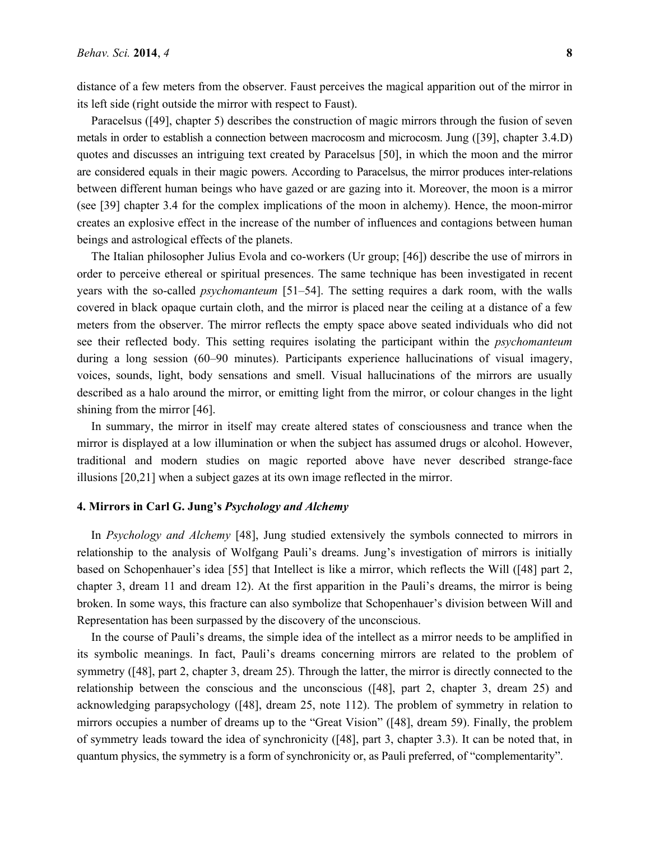distance of a few meters from the observer. Faust perceives the magical apparition out of the mirror in its left side (right outside the mirror with respect to Faust).

Paracelsus ([49], chapter 5) describes the construction of magic mirrors through the fusion of seven metals in order to establish a connection between macrocosm and microcosm. Jung ([39], chapter 3.4.D) quotes and discusses an intriguing text created by Paracelsus [50], in which the moon and the mirror are considered equals in their magic powers. According to Paracelsus, the mirror produces inter-relations between different human beings who have gazed or are gazing into it. Moreover, the moon is a mirror (see [39] chapter 3.4 for the complex implications of the moon in alchemy). Hence, the moon-mirror creates an explosive effect in the increase of the number of influences and contagions between human beings and astrological effects of the planets.

The Italian philosopher Julius Evola and co-workers (Ur group; [46]) describe the use of mirrors in order to perceive ethereal or spiritual presences. The same technique has been investigated in recent years with the so-called *psychomanteum* [51–54]. The setting requires a dark room, with the walls covered in black opaque curtain cloth, and the mirror is placed near the ceiling at a distance of a few meters from the observer. The mirror reflects the empty space above seated individuals who did not see their reflected body. This setting requires isolating the participant within the *psychomanteum* during a long session (60–90 minutes). Participants experience hallucinations of visual imagery, voices, sounds, light, body sensations and smell. Visual hallucinations of the mirrors are usually described as a halo around the mirror, or emitting light from the mirror, or colour changes in the light shining from the mirror [46].

In summary, the mirror in itself may create altered states of consciousness and trance when the mirror is displayed at a low illumination or when the subject has assumed drugs or alcohol. However, traditional and modern studies on magic reported above have never described strange-face illusions [20,21] when a subject gazes at its own image reflected in the mirror.

#### **4. Mirrors in Carl G. Jung's** *Psychology and Alchemy*

In *Psychology and Alchemy* [48], Jung studied extensively the symbols connected to mirrors in relationship to the analysis of Wolfgang Pauli's dreams. Jung's investigation of mirrors is initially based on Schopenhauer's idea [55] that Intellect is like a mirror, which reflects the Will ([48] part 2, chapter 3, dream 11 and dream 12). At the first apparition in the Pauli's dreams, the mirror is being broken. In some ways, this fracture can also symbolize that Schopenhauer's division between Will and Representation has been surpassed by the discovery of the unconscious.

In the course of Pauli's dreams, the simple idea of the intellect as a mirror needs to be amplified in its symbolic meanings. In fact, Pauli's dreams concerning mirrors are related to the problem of symmetry ([48], part 2, chapter 3, dream 25). Through the latter, the mirror is directly connected to the relationship between the conscious and the unconscious ([48], part 2, chapter 3, dream 25) and acknowledging parapsychology ([48], dream 25, note 112). The problem of symmetry in relation to mirrors occupies a number of dreams up to the "Great Vision" ([48], dream 59). Finally, the problem of symmetry leads toward the idea of synchronicity ([48], part 3, chapter 3.3). It can be noted that, in quantum physics, the symmetry is a form of synchronicity or, as Pauli preferred, of "complementarity".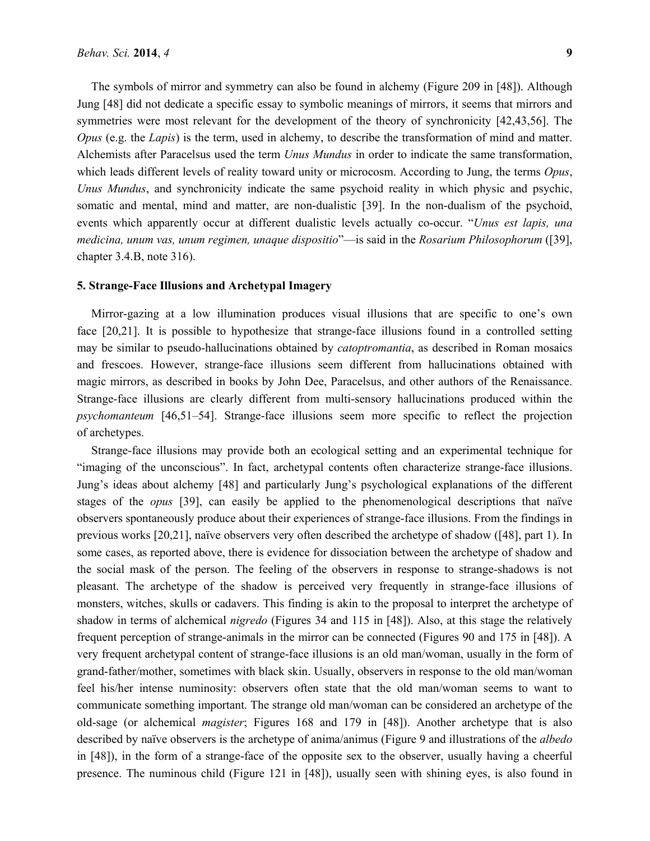The symbols of mirror and symmetry can also be found in alchemy (Figure 209 in [48]). Although Jung [48] did not dedicate a specific essay to symbolic meanings of mirrors, it seems that mirrors and symmetries were most relevant for the development of the theory of synchronicity [42,43,56]. The *Opus* (e.g. the *Lapis*) is the term, used in alchemy, to describe the transformation of mind and matter. Alchemists after Paracelsus used the term *Unus Mundus* in order to indicate the same transformation, which leads different levels of reality toward unity or microcosm. According to Jung, the terms *Opus*, *Unus Mundus*, and synchronicity indicate the same psychoid reality in which physic and psychic, somatic and mental, mind and matter, are non-dualistic [39]. In the non-dualism of the psychoid, events which apparently occur at different dualistic levels actually co-occur. "*Unus est lapis, una medicina, unum vas, unum regimen, unaque dispositio*"—is said in the *Rosarium Philosophorum* ([39], chapter 3.4.B, note 316).

## **5. Strange-Face Illusions and Archetypal Imagery**

Mirror-gazing at a low illumination produces visual illusions that are specific to one's own face [20,21]. It is possible to hypothesize that strange-face illusions found in a controlled setting may be similar to pseudo-hallucinations obtained by *catoptromantia*, as described in Roman mosaics and frescoes. However, strange-face illusions seem different from hallucinations obtained with magic mirrors, as described in books by John Dee, Paracelsus, and other authors of the Renaissance. Strange-face illusions are clearly different from multi-sensory hallucinations produced within the *psychomanteum* [46,51–54]. Strange-face illusions seem more specific to reflect the projection of archetypes.

Strange-face illusions may provide both an ecological setting and an experimental technique for "imaging of the unconscious". In fact, archetypal contents often characterize strange-face illusions. Jung's ideas about alchemy [48] and particularly Jung's psychological explanations of the different stages of the *opus* [39], can easily be applied to the phenomenological descriptions that naïve observers spontaneously produce about their experiences of strange-face illusions. From the findings in previous works [20,21], naïve observers very often described the archetype of shadow ([48], part 1). In some cases, as reported above, there is evidence for dissociation between the archetype of shadow and the social mask of the person. The feeling of the observers in response to strange-shadows is not pleasant. The archetype of the shadow is perceived very frequently in strange-face illusions of monsters, witches, skulls or cadavers. This finding is akin to the proposal to interpret the archetype of shadow in terms of alchemical *nigredo* (Figures 34 and 115 in [48]). Also, at this stage the relatively frequent perception of strange-animals in the mirror can be connected (Figures 90 and 175 in [48]). A very frequent archetypal content of strange-face illusions is an old man/woman, usually in the form of grand-father/mother, sometimes with black skin. Usually, observers in response to the old man/woman feel his/her intense numinosity: observers often state that the old man/woman seems to want to communicate something important. The strange old man/woman can be considered an archetype of the old-sage (or alchemical *magister*; Figures 168 and 179 in [48]). Another archetype that is also described by naïve observers is the archetype of anima/animus (Figure 9 and illustrations of the *albedo* in [48]), in the form of a strange-face of the opposite sex to the observer, usually having a cheerful presence. The numinous child (Figure 121 in [48]), usually seen with shining eyes, is also found in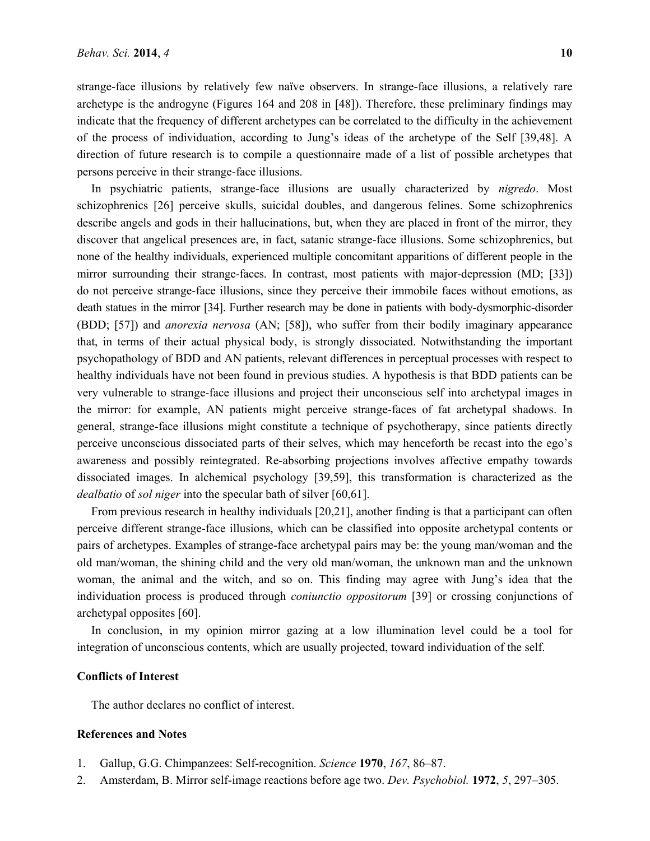strange-face illusions by relatively few naïve observers. In strange-face illusions, a relatively rare archetype is the androgyne (Figures 164 and 208 in [48]). Therefore, these preliminary findings may indicate that the frequency of different archetypes can be correlated to the difficulty in the achievement of the process of individuation, according to Jung's ideas of the archetype of the Self [39,48]. A direction of future research is to compile a questionnaire made of a list of possible archetypes that persons perceive in their strange-face illusions.

In psychiatric patients, strange-face illusions are usually characterized by *nigredo*. Most schizophrenics [26] perceive skulls, suicidal doubles, and dangerous felines. Some schizophrenics describe angels and gods in their hallucinations, but, when they are placed in front of the mirror, they discover that angelical presences are, in fact, satanic strange-face illusions. Some schizophrenics, but none of the healthy individuals, experienced multiple concomitant apparitions of different people in the mirror surrounding their strange-faces. In contrast, most patients with major-depression (MD; [33]) do not perceive strange-face illusions, since they perceive their immobile faces without emotions, as death statues in the mirror [34]. Further research may be done in patients with body-dysmorphic-disorder (BDD; [57]) and *anorexia nervosa* (AN; [58]), who suffer from their bodily imaginary appearance that, in terms of their actual physical body, is strongly dissociated. Notwithstanding the important psychopathology of BDD and AN patients, relevant differences in perceptual processes with respect to healthy individuals have not been found in previous studies. A hypothesis is that BDD patients can be very vulnerable to strange-face illusions and project their unconscious self into archetypal images in the mirror: for example, AN patients might perceive strange-faces of fat archetypal shadows. In general, strange-face illusions might constitute a technique of psychotherapy, since patients directly perceive unconscious dissociated parts of their selves, which may henceforth be recast into the ego's awareness and possibly reintegrated. Re-absorbing projections involves affective empathy towards dissociated images. In alchemical psychology [39,59], this transformation is characterized as the *dealbatio* of *sol niger* into the specular bath of silver [60,61].

From previous research in healthy individuals [20,21], another finding is that a participant can often perceive different strange-face illusions, which can be classified into opposite archetypal contents or pairs of archetypes. Examples of strange-face archetypal pairs may be: the young man/woman and the old man/woman, the shining child and the very old man/woman, the unknown man and the unknown woman, the animal and the witch, and so on. This finding may agree with Jung's idea that the individuation process is produced through *coniunctio oppositorum* [39] or crossing conjunctions of archetypal opposites [60].

In conclusion, in my opinion mirror gazing at a low illumination level could be a tool for integration of unconscious contents, which are usually projected, toward individuation of the self.

### **Conflicts of Interest**

The author declares no conflict of interest.

#### **References and Notes**

- 1. Gallup, G.G. Chimpanzees: Self-recognition. *Science* **1970**, *167*, 86–87.
- 2. Amsterdam, B. Mirror self-image reactions before age two. *Dev. Psychobiol.* **1972**, *5*, 297–305.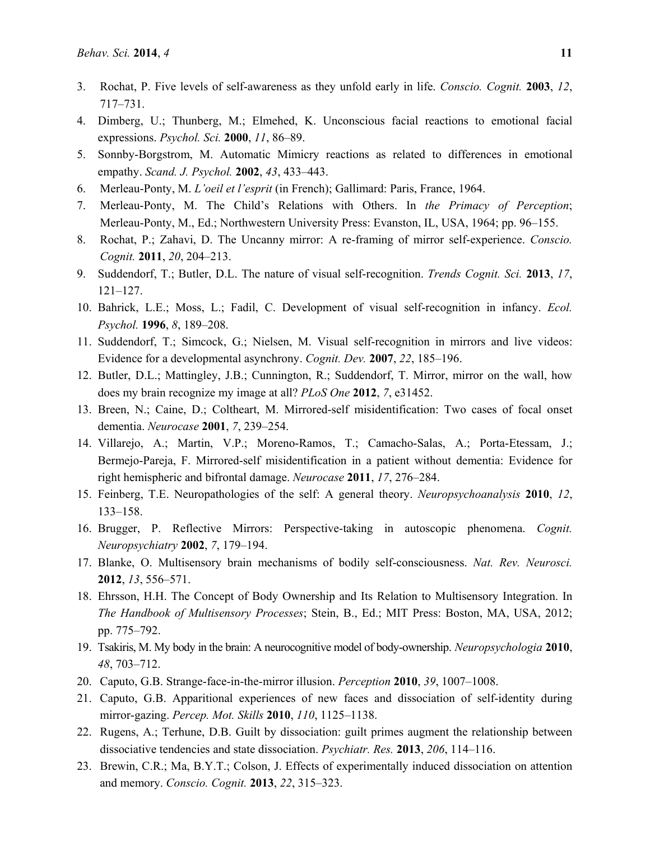- 3. Rochat, P. Five levels of self-awareness as they unfold early in life. *Conscio. Cognit.* **2003**, *12*, 717–731.
- 4. Dimberg, U.; Thunberg, M.; Elmehed, K. Unconscious facial reactions to emotional facial expressions. *Psychol. Sci.* **2000**, *11*, 86–89.
- 5. Sonnby-Borgstrom, M. Automatic Mimicry reactions as related to differences in emotional empathy. *Scand. J. Psychol.* **2002**, *43*, 433–443.
- 6. Merleau-Ponty, M. *L'oeil et l'esprit* (in French); Gallimard: Paris, France, 1964.
- 7. Merleau-Ponty, M. The Child's Relations with Others. In *the Primacy of Perception*; Merleau-Ponty, M., Ed.; Northwestern University Press: Evanston, IL, USA, 1964; pp. 96–155.
- 8. Rochat, P.; Zahavi, D. The Uncanny mirror: A re-framing of mirror self-experience. *Conscio. Cognit.* **2011**, *20*, 204–213.
- 9. Suddendorf, T.; Butler, D.L. The nature of visual self-recognition. *Trends Cognit. Sci.* **2013**, *17*, 121–127.
- 10. Bahrick, L.E.; Moss, L.; Fadil, C. Development of visual self-recognition in infancy. *Ecol. Psychol.* **1996**, *8*, 189–208.
- 11. Suddendorf, T.; Simcock, G.; Nielsen, M. Visual self-recognition in mirrors and live videos: Evidence for a developmental asynchrony. *Cognit. Dev.* **2007**, *22*, 185–196.
- 12. Butler, D.L.; Mattingley, J.B.; Cunnington, R.; Suddendorf, T. Mirror, mirror on the wall, how does my brain recognize my image at all? *PLoS One* **2012**, *7*, e31452.
- 13. Breen, N.; Caine, D.; Coltheart, M. Mirrored-self misidentification: Two cases of focal onset dementia. *Neurocase* **2001**, *7*, 239–254.
- 14. Villarejo, A.; Martin, V.P.; Moreno-Ramos, T.; Camacho-Salas, A.; Porta-Etessam, J.; Bermejo-Pareja, F. Mirrored-self misidentification in a patient without dementia: Evidence for right hemispheric and bifrontal damage. *Neurocase* **2011**, *17*, 276–284.
- 15. Feinberg, T.E. Neuropathologies of the self: A general theory. *Neuropsychoanalysis* **2010**, *12*, 133–158.
- 16. Brugger, P. Reflective Mirrors: Perspective-taking in autoscopic phenomena. *Cognit. Neuropsychiatry* **2002**, *7*, 179–194.
- 17. Blanke, O. Multisensory brain mechanisms of bodily self-consciousness. *Nat. Rev. Neurosci.* **2012**, *13*, 556–571.
- 18. Ehrsson, H.H. The Concept of Body Ownership and Its Relation to Multisensory Integration. In *The Handbook of Multisensory Processes*; Stein, B., Ed.; MIT Press: Boston, MA, USA, 2012; pp. 775–792.
- 19. Tsakiris, M. My body in the brain: A neurocognitive model of body-ownership. *Neuropsychologia* **2010**, *48*, 703–712.
- 20. Caputo, G.B. Strange-face-in-the-mirror illusion. *Perception* **2010**, *39*, 1007–1008.
- 21. Caputo, G.B. Apparitional experiences of new faces and dissociation of self-identity during mirror-gazing. *Percep. Mot. Skills* **2010**, *110*, 1125–1138.
- 22. Rugens, A.; Terhune, D.B. Guilt by dissociation: guilt primes augment the relationship between dissociative tendencies and state dissociation. *Psychiatr. Res.* **2013**, *206*, 114–116.
- 23. Brewin, C.R.; Ma, B.Y.T.; Colson, J. Effects of experimentally induced dissociation on attention and memory. *Conscio. Cognit.* **2013**, *22*, 315–323.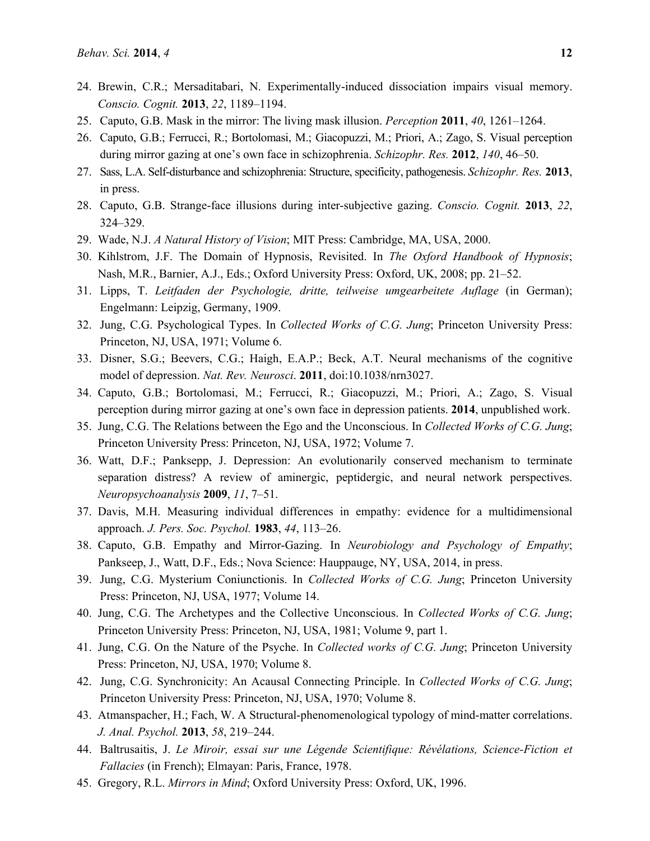- 24. Brewin, C.R.; Mersaditabari, N. Experimentally-induced dissociation impairs visual memory. *Conscio. Cognit.* **2013**, *22*, 1189–1194.
- 25. Caputo, G.B. Mask in the mirror: The living mask illusion. *Perception* **2011**, *40*, 1261–1264.
- 26. Caputo, G.B.; Ferrucci, R.; Bortolomasi, M.; Giacopuzzi, M.; Priori, A.; Zago, S. Visual perception during mirror gazing at one's own face in schizophrenia. *Schizophr. Res.* **2012**, *140*, 46–50.
- 27. Sass, L.A. Self-disturbance and schizophrenia: Structure, specificity, pathogenesis. *Schizophr. Res.* **2013**, in press.
- 28. Caputo, G.B. Strange-face illusions during inter-subjective gazing. *Conscio. Cognit.* **2013**, *22*, 324–329.
- 29. Wade, N.J. *A Natural History of Vision*; MIT Press: Cambridge, MA, USA, 2000.
- 30. Kihlstrom, J.F. The Domain of Hypnosis, Revisited. In *The Oxford Handbook of Hypnosis*; Nash, M.R., Barnier, A.J., Eds.; Oxford University Press: Oxford, UK, 2008; pp. 21–52.
- 31. Lipps, T. *Leitfaden der Psychologie, dritte, teilweise umgearbeitete Auflage* (in German); Engelmann: Leipzig, Germany, 1909.
- 32. Jung, C.G. Psychological Types. In *Collected Works of C.G. Jung*; Princeton University Press: Princeton, NJ, USA, 1971; Volume 6.
- 33. Disner, S.G.; Beevers, C.G.; Haigh, E.A.P.; Beck, A.T. Neural mechanisms of the cognitive model of depression. *Nat. Rev. Neurosci*. **2011**, doi:10.1038/nrn3027.
- 34. Caputo, G.B.; Bortolomasi, M.; Ferrucci, R.; Giacopuzzi, M.; Priori, A.; Zago, S. Visual perception during mirror gazing at one's own face in depression patients. **2014**, unpublished work.
- 35. Jung, C.G. The Relations between the Ego and the Unconscious. In *Collected Works of C.G. Jung*; Princeton University Press: Princeton, NJ, USA, 1972; Volume 7.
- 36. Watt, D.F.; Panksepp, J. Depression: An evolutionarily conserved mechanism to terminate separation distress? A review of aminergic, peptidergic, and neural network perspectives. *Neuropsychoanalysis* **2009**, *11*, 7–51.
- 37. Davis, M.H. Measuring individual differences in empathy: evidence for a multidimensional approach. *J. Pers. Soc. Psychol.* **1983**, *44*, 113–26.
- 38. Caputo, G.B. Empathy and Mirror-Gazing. In *Neurobiology and Psychology of Empathy*; Pankseep, J., Watt, D.F., Eds.; Nova Science: Hauppauge, NY, USA, 2014, in press.
- 39. Jung, C.G. Mysterium Coniunctionis. In *Collected Works of C.G. Jung*; Princeton University Press: Princeton, NJ, USA, 1977; Volume 14.
- 40. Jung, C.G. The Archetypes and the Collective Unconscious. In *Collected Works of C.G. Jung*; Princeton University Press: Princeton, NJ, USA, 1981; Volume 9, part 1.
- 41. Jung, C.G. On the Nature of the Psyche. In *Collected works of C.G. Jung*; Princeton University Press: Princeton, NJ, USA, 1970; Volume 8.
- 42. Jung, C.G. Synchronicity: An Acausal Connecting Principle. In *Collected Works of C.G. Jung*; Princeton University Press: Princeton, NJ, USA, 1970; Volume 8.
- 43. Atmanspacher, H.; Fach, W. A Structural-phenomenological typology of mind-matter correlations. *J. Anal. Psychol.* **2013**, *58*, 219–244.
- 44. Baltrusaitis, J. *Le Miroir, essai sur une Légende Scientifique: Révélations, Science-Fiction et Fallacies* (in French); Elmayan: Paris, France, 1978.
- 45. Gregory, R.L. *Mirrors in Mind*; Oxford University Press: Oxford, UK, 1996.